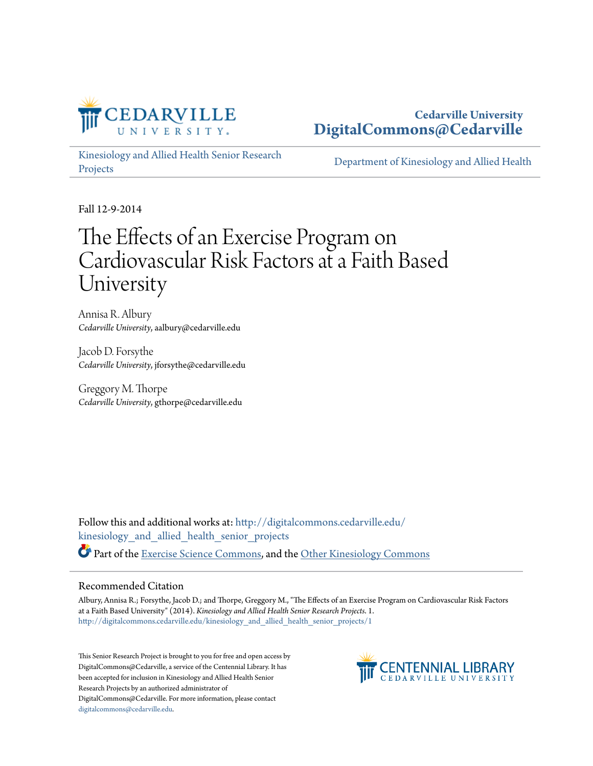

# **Cedarville University [DigitalCommons@Cedarville](http://digitalcommons.cedarville.edu?utm_source=digitalcommons.cedarville.edu%2Fkinesiology_and_allied_health_senior_projects%2F1&utm_medium=PDF&utm_campaign=PDFCoverPages)**

[Kinesiology and Allied Health Senior Research](http://digitalcommons.cedarville.edu/kinesiology_and_allied_health_senior_projects?utm_source=digitalcommons.cedarville.edu%2Fkinesiology_and_allied_health_senior_projects%2F1&utm_medium=PDF&utm_campaign=PDFCoverPages) [Projects](http://digitalcommons.cedarville.edu/kinesiology_and_allied_health_senior_projects?utm_source=digitalcommons.cedarville.edu%2Fkinesiology_and_allied_health_senior_projects%2F1&utm_medium=PDF&utm_campaign=PDFCoverPages)

[Department of Kinesiology and Allied Health](http://digitalcommons.cedarville.edu/kinesiology_and_allied_health?utm_source=digitalcommons.cedarville.edu%2Fkinesiology_and_allied_health_senior_projects%2F1&utm_medium=PDF&utm_campaign=PDFCoverPages)

Fall 12-9-2014

# The Effects of an Exercise Program on Cardiovascular Risk Factors at a Faith Based University

Annisa R. Albury *Cedarville University*, aalbury@cedarville.edu

Jacob D. Forsythe *Cedarville University*, jforsythe@cedarville.edu

Greggory M. Thorpe *Cedarville University*, gthorpe@cedarville.edu

Follow this and additional works at: [http://digitalcommons.cedarville.edu/](http://digitalcommons.cedarville.edu/kinesiology_and_allied_health_senior_projects?utm_source=digitalcommons.cedarville.edu%2Fkinesiology_and_allied_health_senior_projects%2F1&utm_medium=PDF&utm_campaign=PDFCoverPages) [kinesiology\\_and\\_allied\\_health\\_senior\\_projects](http://digitalcommons.cedarville.edu/kinesiology_and_allied_health_senior_projects?utm_source=digitalcommons.cedarville.edu%2Fkinesiology_and_allied_health_senior_projects%2F1&utm_medium=PDF&utm_campaign=PDFCoverPages) Part of the [Exercise Science Commons,](http://network.bepress.com/hgg/discipline/1091?utm_source=digitalcommons.cedarville.edu%2Fkinesiology_and_allied_health_senior_projects%2F1&utm_medium=PDF&utm_campaign=PDFCoverPages) and the [Other Kinesiology Commons](http://network.bepress.com/hgg/discipline/47?utm_source=digitalcommons.cedarville.edu%2Fkinesiology_and_allied_health_senior_projects%2F1&utm_medium=PDF&utm_campaign=PDFCoverPages)

### Recommended Citation

Albury, Annisa R.; Forsythe, Jacob D.; and Thorpe, Greggory M., "The Effects of an Exercise Program on Cardiovascular Risk Factors at a Faith Based University" (2014). *Kinesiology and Allied Health Senior Research Projects*. 1. [http://digitalcommons.cedarville.edu/kinesiology\\_and\\_allied\\_health\\_senior\\_projects/1](http://digitalcommons.cedarville.edu/kinesiology_and_allied_health_senior_projects/1?utm_source=digitalcommons.cedarville.edu%2Fkinesiology_and_allied_health_senior_projects%2F1&utm_medium=PDF&utm_campaign=PDFCoverPages)

This Senior Research Project is brought to you for free and open access by DigitalCommons@Cedarville, a service of the Centennial Library. It has been accepted for inclusion in Kinesiology and Allied Health Senior Research Projects by an authorized administrator of DigitalCommons@Cedarville. For more information, please contact [digitalcommons@cedarville.edu](mailto:digitalcommons@cedarville.edu).

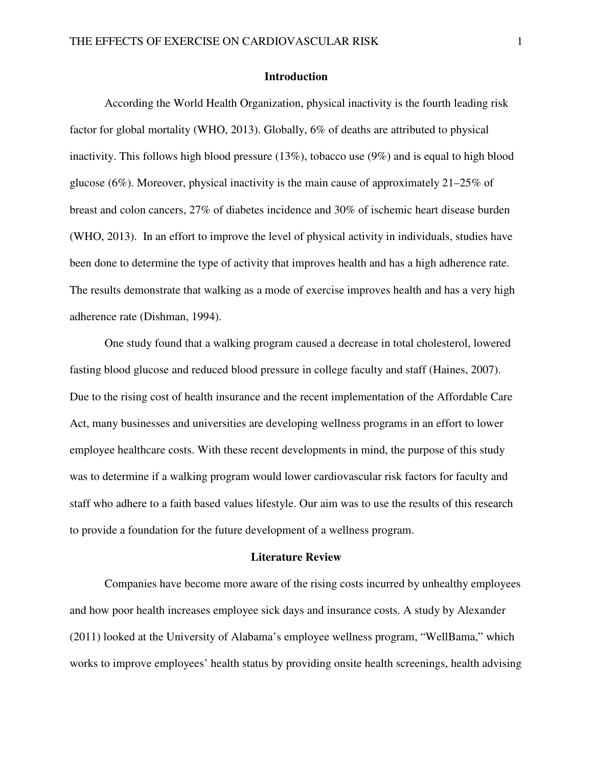#### **Introduction**

According the World Health Organization, physical inactivity is the fourth leading risk factor for global mortality (WHO, 2013). Globally, 6% of deaths are attributed to physical inactivity. This follows high blood pressure (13%), tobacco use (9%) and is equal to high blood glucose (6%). Moreover, physical inactivity is the main cause of approximately 21–25% of breast and colon cancers, 27% of diabetes incidence and 30% of ischemic heart disease burden (WHO, 2013). In an effort to improve the level of physical activity in individuals, studies have been done to determine the type of activity that improves health and has a high adherence rate. The results demonstrate that walking as a mode of exercise improves health and has a very high adherence rate (Dishman, 1994).

One study found that a walking program caused a decrease in total cholesterol, lowered fasting blood glucose and reduced blood pressure in college faculty and staff (Haines, 2007). Due to the rising cost of health insurance and the recent implementation of the Affordable Care Act, many businesses and universities are developing wellness programs in an effort to lower employee healthcare costs. With these recent developments in mind, the purpose of this study was to determine if a walking program would lower cardiovascular risk factors for faculty and staff who adhere to a faith based values lifestyle. Our aim was to use the results of this research to provide a foundation for the future development of a wellness program.

#### **Literature Review**

Companies have become more aware of the rising costs incurred by unhealthy employees and how poor health increases employee sick days and insurance costs. A study by Alexander (2011) looked at the University of Alabama's employee wellness program, "WellBama," which works to improve employees' health status by providing onsite health screenings, health advising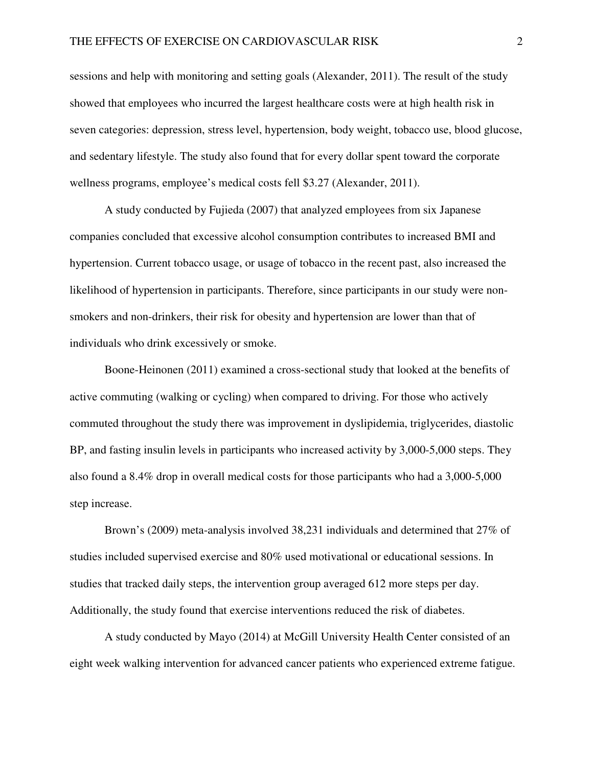sessions and help with monitoring and setting goals (Alexander, 2011). The result of the study showed that employees who incurred the largest healthcare costs were at high health risk in seven categories: depression, stress level, hypertension, body weight, tobacco use, blood glucose, and sedentary lifestyle. The study also found that for every dollar spent toward the corporate wellness programs, employee's medical costs fell \$3.27 (Alexander, 2011).

 A study conducted by Fujieda (2007) that analyzed employees from six Japanese companies concluded that excessive alcohol consumption contributes to increased BMI and hypertension. Current tobacco usage, or usage of tobacco in the recent past, also increased the likelihood of hypertension in participants. Therefore, since participants in our study were nonsmokers and non-drinkers, their risk for obesity and hypertension are lower than that of individuals who drink excessively or smoke.

 Boone-Heinonen (2011) examined a cross-sectional study that looked at the benefits of active commuting (walking or cycling) when compared to driving. For those who actively commuted throughout the study there was improvement in dyslipidemia, triglycerides, diastolic BP, and fasting insulin levels in participants who increased activity by 3,000-5,000 steps. They also found a 8.4% drop in overall medical costs for those participants who had a 3,000-5,000 step increase.

 Brown's (2009) meta-analysis involved 38,231 individuals and determined that 27% of studies included supervised exercise and 80% used motivational or educational sessions. In studies that tracked daily steps, the intervention group averaged 612 more steps per day. Additionally, the study found that exercise interventions reduced the risk of diabetes.

 A study conducted by Mayo (2014) at McGill University Health Center consisted of an eight week walking intervention for advanced cancer patients who experienced extreme fatigue.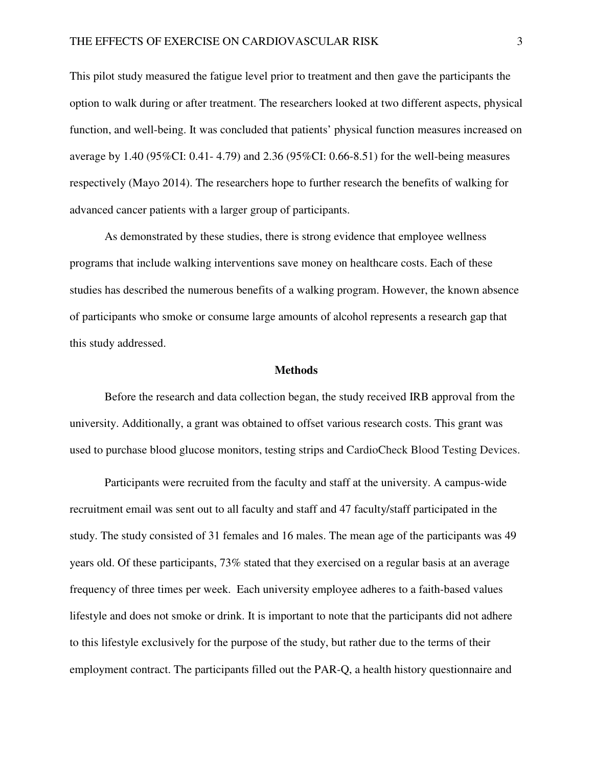This pilot study measured the fatigue level prior to treatment and then gave the participants the option to walk during or after treatment. The researchers looked at two different aspects, physical function, and well-being. It was concluded that patients' physical function measures increased on average by 1.40 (95%CI: 0.41- 4.79) and 2.36 (95%CI: 0.66-8.51) for the well-being measures respectively (Mayo 2014). The researchers hope to further research the benefits of walking for advanced cancer patients with a larger group of participants.

 As demonstrated by these studies, there is strong evidence that employee wellness programs that include walking interventions save money on healthcare costs. Each of these studies has described the numerous benefits of a walking program. However, the known absence of participants who smoke or consume large amounts of alcohol represents a research gap that this study addressed.

#### **Methods**

Before the research and data collection began, the study received IRB approval from the university. Additionally, a grant was obtained to offset various research costs. This grant was used to purchase blood glucose monitors, testing strips and CardioCheck Blood Testing Devices.

Participants were recruited from the faculty and staff at the university. A campus-wide recruitment email was sent out to all faculty and staff and 47 faculty/staff participated in the study. The study consisted of 31 females and 16 males. The mean age of the participants was 49 years old. Of these participants, 73% stated that they exercised on a regular basis at an average frequency of three times per week. Each university employee adheres to a faith-based values lifestyle and does not smoke or drink. It is important to note that the participants did not adhere to this lifestyle exclusively for the purpose of the study, but rather due to the terms of their employment contract. The participants filled out the PAR-Q, a health history questionnaire and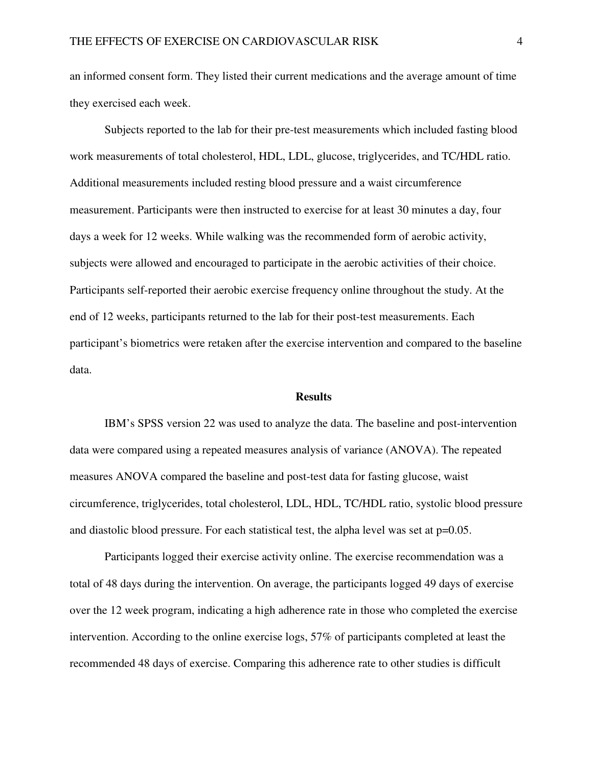an informed consent form. They listed their current medications and the average amount of time they exercised each week.

Subjects reported to the lab for their pre-test measurements which included fasting blood work measurements of total cholesterol, HDL, LDL, glucose, triglycerides, and TC/HDL ratio. Additional measurements included resting blood pressure and a waist circumference measurement. Participants were then instructed to exercise for at least 30 minutes a day, four days a week for 12 weeks. While walking was the recommended form of aerobic activity, subjects were allowed and encouraged to participate in the aerobic activities of their choice. Participants self-reported their aerobic exercise frequency online throughout the study. At the end of 12 weeks, participants returned to the lab for their post-test measurements. Each participant's biometrics were retaken after the exercise intervention and compared to the baseline data.

#### **Results**

IBM's SPSS version 22 was used to analyze the data. The baseline and post-intervention data were compared using a repeated measures analysis of variance (ANOVA). The repeated measures ANOVA compared the baseline and post-test data for fasting glucose, waist circumference, triglycerides, total cholesterol, LDL, HDL, TC/HDL ratio, systolic blood pressure and diastolic blood pressure. For each statistical test, the alpha level was set at  $p=0.05$ .

Participants logged their exercise activity online. The exercise recommendation was a total of 48 days during the intervention. On average, the participants logged 49 days of exercise over the 12 week program, indicating a high adherence rate in those who completed the exercise intervention. According to the online exercise logs, 57% of participants completed at least the recommended 48 days of exercise. Comparing this adherence rate to other studies is difficult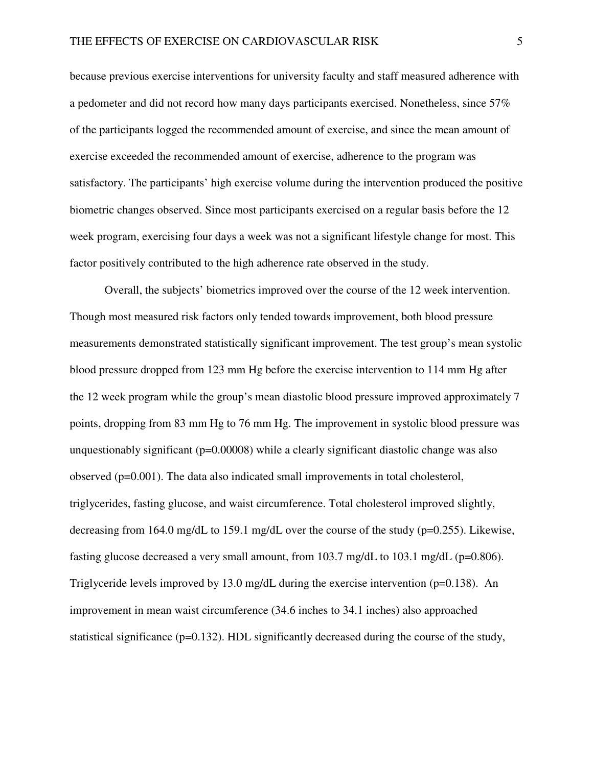because previous exercise interventions for university faculty and staff measured adherence with a pedometer and did not record how many days participants exercised. Nonetheless, since 57% of the participants logged the recommended amount of exercise, and since the mean amount of exercise exceeded the recommended amount of exercise, adherence to the program was satisfactory. The participants' high exercise volume during the intervention produced the positive biometric changes observed. Since most participants exercised on a regular basis before the 12 week program, exercising four days a week was not a significant lifestyle change for most. This factor positively contributed to the high adherence rate observed in the study.

Overall, the subjects' biometrics improved over the course of the 12 week intervention. Though most measured risk factors only tended towards improvement, both blood pressure measurements demonstrated statistically significant improvement. The test group's mean systolic blood pressure dropped from 123 mm Hg before the exercise intervention to 114 mm Hg after the 12 week program while the group's mean diastolic blood pressure improved approximately 7 points, dropping from 83 mm Hg to 76 mm Hg. The improvement in systolic blood pressure was unquestionably significant ( $p=0.00008$ ) while a clearly significant diastolic change was also observed (p=0.001). The data also indicated small improvements in total cholesterol, triglycerides, fasting glucose, and waist circumference. Total cholesterol improved slightly, decreasing from 164.0 mg/dL to 159.1 mg/dL over the course of the study (p=0.255). Likewise, fasting glucose decreased a very small amount, from 103.7 mg/dL to 103.1 mg/dL (p=0.806). Triglyceride levels improved by 13.0 mg/dL during the exercise intervention ( $p=0.138$ ). An improvement in mean waist circumference (34.6 inches to 34.1 inches) also approached statistical significance (p=0.132). HDL significantly decreased during the course of the study,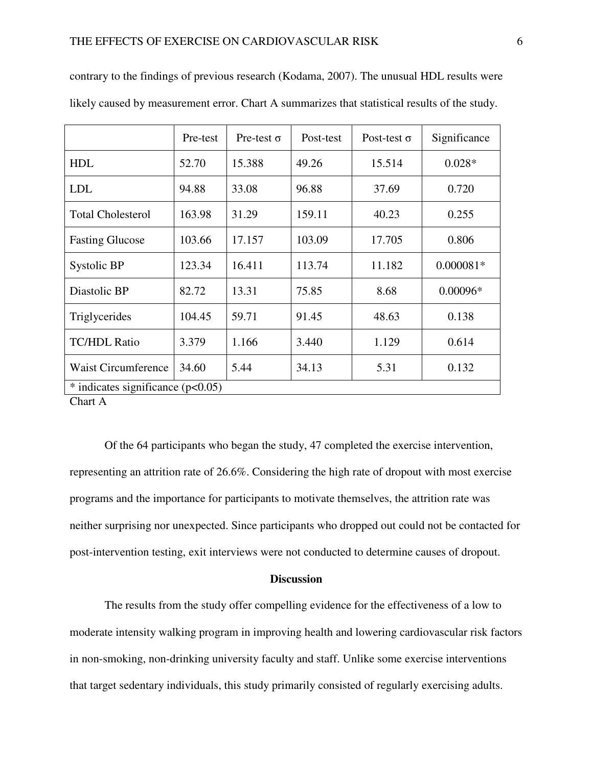|                                         | Pre-test | Pre-test $\sigma$ | Post-test | Post-test $\sigma$ | Significance |
|-----------------------------------------|----------|-------------------|-----------|--------------------|--------------|
| <b>HDL</b>                              | 52.70    | 15.388            | 49.26     | 15.514             | $0.028*$     |
| <b>LDL</b>                              | 94.88    | 33.08             | 96.88     | 37.69              | 0.720        |
| <b>Total Cholesterol</b>                | 163.98   | 31.29             | 159.11    | 40.23              | 0.255        |
| <b>Fasting Glucose</b>                  | 103.66   | 17.157            | 103.09    | 17.705             | 0.806        |
| Systolic BP                             | 123.34   | 16.411            | 113.74    | 11.182             | $0.000081*$  |
| Diastolic BP                            | 82.72    | 13.31             | 75.85     | 8.68               | $0.00096*$   |
| Triglycerides                           | 104.45   | 59.71             | 91.45     | 48.63              | 0.138        |
| <b>TC/HDL Ratio</b>                     | 3.379    | 1.166             | 3.440     | 1.129              | 0.614        |
| <b>Waist Circumference</b>              | 34.60    | 5.44              | 34.13     | 5.31               | 0.132        |
| $*$ indicates significance ( $p<0.05$ ) |          |                   |           |                    |              |

contrary to the findings of previous research (Kodama, 2007). The unusual HDL results were likely caused by measurement error. Chart A summarizes that statistical results of the study.

Chart A

Of the 64 participants who began the study, 47 completed the exercise intervention, representing an attrition rate of 26.6%. Considering the high rate of dropout with most exercise programs and the importance for participants to motivate themselves, the attrition rate was neither surprising nor unexpected. Since participants who dropped out could not be contacted for post-intervention testing, exit interviews were not conducted to determine causes of dropout.

#### **Discussion**

The results from the study offer compelling evidence for the effectiveness of a low to moderate intensity walking program in improving health and lowering cardiovascular risk factors in non-smoking, non-drinking university faculty and staff. Unlike some exercise interventions that target sedentary individuals, this study primarily consisted of regularly exercising adults.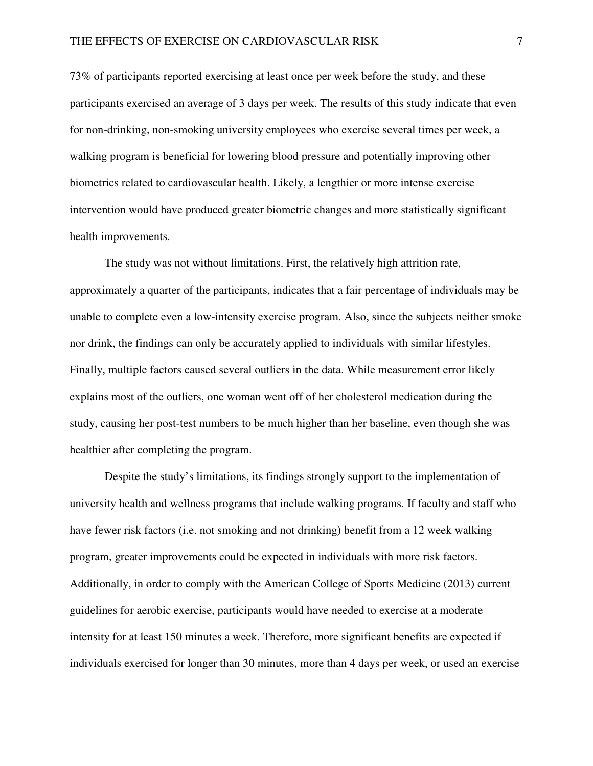73% of participants reported exercising at least once per week before the study, and these participants exercised an average of 3 days per week. The results of this study indicate that even for non-drinking, non-smoking university employees who exercise several times per week, a walking program is beneficial for lowering blood pressure and potentially improving other biometrics related to cardiovascular health. Likely, a lengthier or more intense exercise intervention would have produced greater biometric changes and more statistically significant health improvements.

The study was not without limitations. First, the relatively high attrition rate, approximately a quarter of the participants, indicates that a fair percentage of individuals may be unable to complete even a low-intensity exercise program. Also, since the subjects neither smoke nor drink, the findings can only be accurately applied to individuals with similar lifestyles. Finally, multiple factors caused several outliers in the data. While measurement error likely explains most of the outliers, one woman went off of her cholesterol medication during the study, causing her post-test numbers to be much higher than her baseline, even though she was healthier after completing the program.

Despite the study's limitations, its findings strongly support to the implementation of university health and wellness programs that include walking programs. If faculty and staff who have fewer risk factors (i.e. not smoking and not drinking) benefit from a 12 week walking program, greater improvements could be expected in individuals with more risk factors. Additionally, in order to comply with the American College of Sports Medicine (2013) current guidelines for aerobic exercise, participants would have needed to exercise at a moderate intensity for at least 150 minutes a week. Therefore, more significant benefits are expected if individuals exercised for longer than 30 minutes, more than 4 days per week, or used an exercise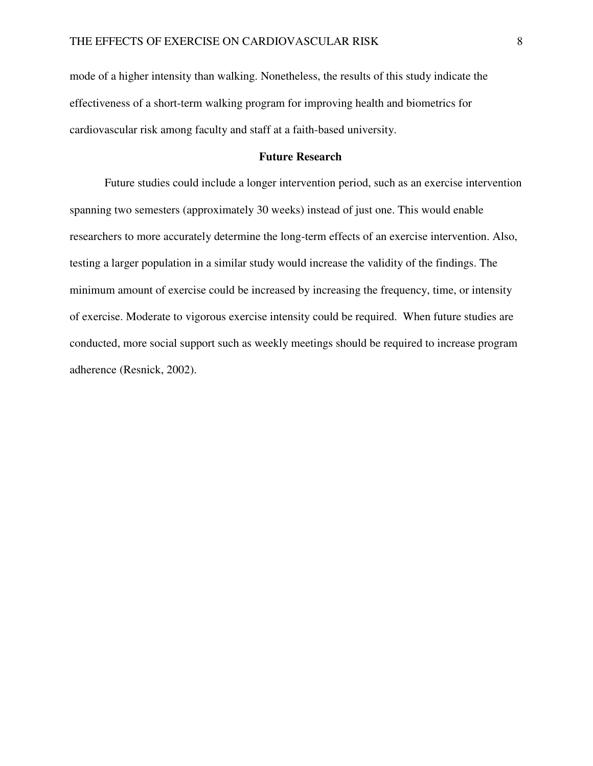mode of a higher intensity than walking. Nonetheless, the results of this study indicate the effectiveness of a short-term walking program for improving health and biometrics for cardiovascular risk among faculty and staff at a faith-based university.

## **Future Research**

 Future studies could include a longer intervention period, such as an exercise intervention spanning two semesters (approximately 30 weeks) instead of just one. This would enable researchers to more accurately determine the long-term effects of an exercise intervention. Also, testing a larger population in a similar study would increase the validity of the findings. The minimum amount of exercise could be increased by increasing the frequency, time, or intensity of exercise. Moderate to vigorous exercise intensity could be required. When future studies are conducted, more social support such as weekly meetings should be required to increase program adherence (Resnick, 2002).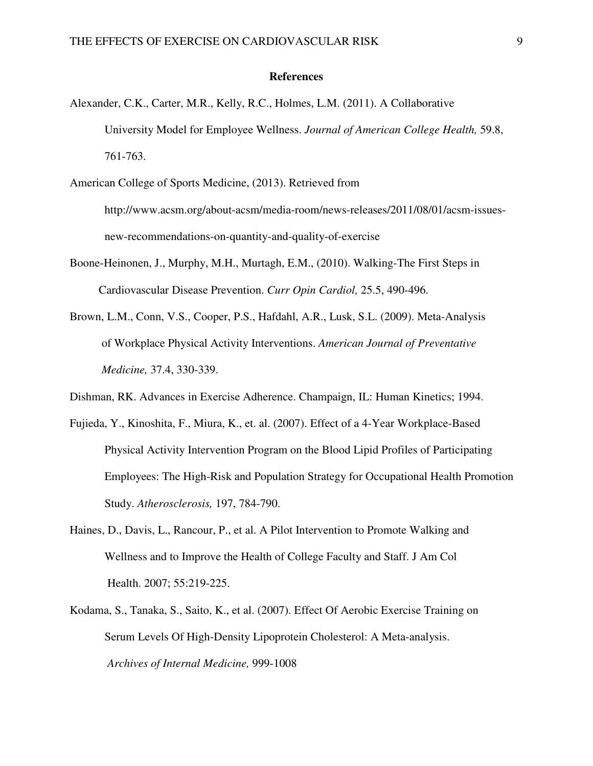#### **References**

- Alexander, C.K., Carter, M.R., Kelly, R.C., Holmes, L.M. (2011). A Collaborative University Model for Employee Wellness. *Journal of American College Health,* 59.8, 761-763.
- American College of Sports Medicine, (2013). Retrieved from http://www.acsm.org/about-acsm/media-room/news-releases/2011/08/01/acsm-issuesnew-recommendations-on-quantity-and-quality-of-exercise
- Boone-Heinonen, J., Murphy, M.H., Murtagh, E.M., (2010). Walking-The First Steps in Cardiovascular Disease Prevention. *Curr Opin Cardiol,* 25.5, 490-496.
- Brown, L.M., Conn, V.S., Cooper, P.S., Hafdahl, A.R., Lusk, S.L. (2009). Meta-Analysis of Workplace Physical Activity Interventions. *American Journal of Preventative Medicine,* 37.4, 330-339.
- Dishman, RK. Advances in Exercise Adherence. Champaign, IL: Human Kinetics; 1994.
- Fujieda, Y., Kinoshita, F., Miura, K., et. al. (2007). Effect of a 4-Year Workplace-Based Physical Activity Intervention Program on the Blood Lipid Profiles of Participating Employees: The High-Risk and Population Strategy for Occupational Health Promotion Study. *Atherosclerosis,* 197, 784-790.
- Haines, D., Davis, L., Rancour, P., et al. A Pilot Intervention to Promote Walking and Wellness and to Improve the Health of College Faculty and Staff. J Am Col Health. 2007; 55:219-225.
- Kodama, S., Tanaka, S., Saito, K., et al. (2007). Effect Of Aerobic Exercise Training on Serum Levels Of High-Density Lipoprotein Cholesterol: A Meta-analysis. *Archives of Internal Medicine,* 999-1008